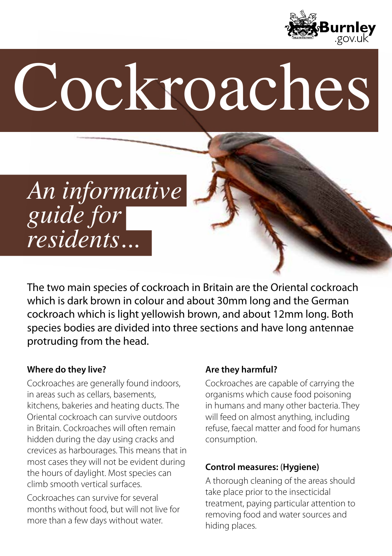

# Cockroaches

## *An informative guide for residents...*

The two main species of cockroach in Britain are the Oriental cockroach which is dark brown in colour and about 30mm long and the German cockroach which is light yellowish brown, and about 12mm long. Both species bodies are divided into three sections and have long antennae protruding from the head.

#### **Where do they live?**

Cockroaches are generally found indoors, in areas such as cellars, basements, kitchens, bakeries and heating ducts. The Oriental cockroach can survive outdoors in Britain. Cockroaches will often remain hidden during the day using cracks and crevices as harbourages. This means that in most cases they will not be evident during the hours of daylight. Most species can climb smooth vertical surfaces.

Cockroaches can survive for several months without food, but will not live for more than a few days without water.

#### **Are they harmful?**

Cockroaches are capable of carrying the organisms which cause food poisoning in humans and many other bacteria. They will feed on almost anything, including refuse, faecal matter and food for humans consumption.

#### **Control measures:** (**Hygiene)**

A thorough cleaning of the areas should take place prior to the insecticidal treatment, paying particular attention to removing food and water sources and hiding places.